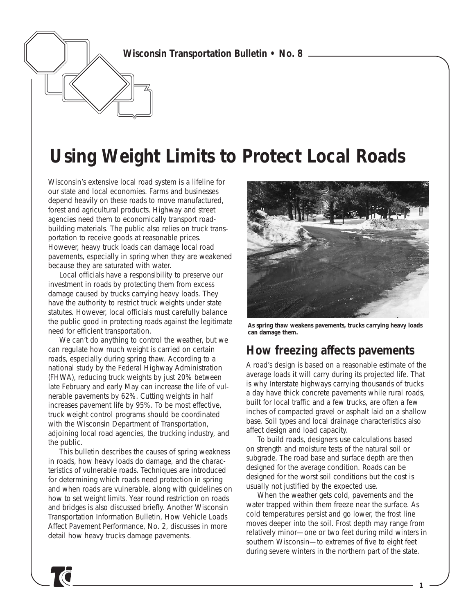*Wisconsin Transportation Bulletin • No. 8*

# **Using Weight Limits to Protect Local Roads**

Wisconsin's extensive local road system is a lifeline for our state and local economies. Farms and businesses depend heavily on these roads to move manufactured, forest and agricultural products. Highway and street agencies need them to economically transport roadbuilding materials. The public also relies on truck transportation to receive goods at reasonable prices. However, heavy truck loads can damage local road pavements, especially in spring when they are weakened because they are saturated with water.

Local officials have a responsibility to preserve our investment in roads by protecting them from excess damage caused by trucks carrying heavy loads. They have the authority to restrict truck weights under state statutes. However, local officials must carefully balance the public good in protecting roads against the legitimate need for efficient transportation.

We can't do anything to control the weather, but we can regulate how much weight is carried on certain roads, especially during spring thaw. According to a national study by the Federal Highway Administration (FHWA), reducing truck weights by just 20% between late February and early May can increase the life of vulnerable pavements by 62%. Cutting weights in half increases pavement life by 95%. To be most effective, truck weight control programs should be coordinated with the Wisconsin Department of Transportation, adjoining local road agencies, the trucking industry, and the public.

This bulletin describes the causes of spring weakness in roads, how heavy loads do damage, and the characteristics of vulnerable roads. Techniques are introduced for determining which roads need protection in spring and when roads are vulnerable, along with guidelines on how to set weight limits. Year round restriction on roads and bridges is also discussed briefly. Another Wisconsin Transportation Information Bulletin, *How Vehicle Loads Affect Pavement Performance, No. 2,* discusses in more detail how heavy trucks damage pavements.



*As spring thaw weakens pavements, trucks carrying heavy loads can damage them.*

### **How freezing affects pavements**

A road's design is based on a reasonable estimate of the average loads it will carry during its projected life. That is why Interstate highways carrying thousands of trucks a day have thick concrete pavements while rural roads, built for local traffic and a few trucks, are often a few inches of compacted gravel or asphalt laid on a shallow base. Soil types and local drainage characteristics also affect design and load capacity.

To build roads, designers use calculations based on strength and moisture tests of the natural soil or subgrade. The road base and surface depth are then designed for the average condition. Roads can be designed for the worst soil conditions but the cost is usually not justified by the expected use.

When the weather gets cold, pavements and the water trapped within them freeze near the surface. As cold temperatures persist and go lower, the frost line moves deeper into the soil. Frost depth may range from relatively minor—one or two feet during mild winters in southern Wisconsin—to extremes of five to eight feet during severe winters in the northern part of the state.

*1*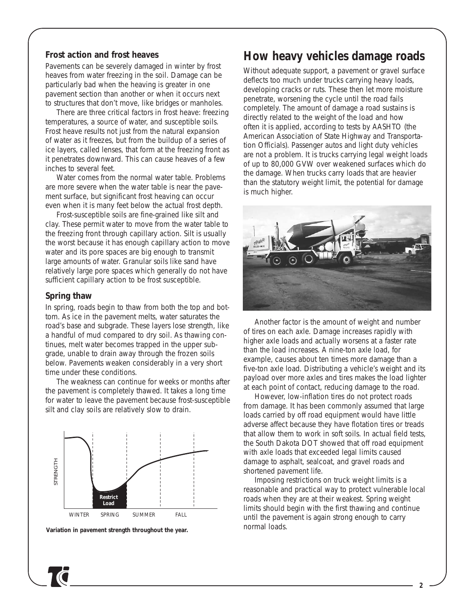#### *Frost action and frost heaves*

Pavements can be severely damaged in winter by frost heaves from water freezing in the soil. Damage can be particularly bad when the heaving is greater in one pavement section than another or when it occurs next to structures that don't move, like bridges or manholes.

There are three critical factors in frost heave: freezing temperatures, a source of water, and susceptible soils. Frost heave results not just from the natural expansion of water as it freezes, but from the buildup of a series of ice layers, called lenses, that form at the freezing front as it penetrates downward. This can cause heaves of a few inches to several feet.

Water comes from the normal water table. Problems are more severe when the water table is near the pavement surface, but significant frost heaving can occur even when it is many feet below the actual frost depth.

Frost-susceptible soils are fine-grained like silt and clay. These permit water to move from the water table to the freezing front through capillary action. Silt is usually the worst because it has enough capillary action to move water and its pore spaces are big enough to transmit large amounts of water. Granular soils like sand have relatively large pore spaces which generally do not have sufficient capillary action to be frost susceptible.

#### *Spring thaw*

In spring, roads begin to thaw from both the top and bottom. As ice in the pavement melts, water saturates the road's base and subgrade. These layers lose strength, like a handful of mud compared to dry soil. As thawing continues, melt water becomes trapped in the upper subgrade, unable to drain away through the frozen soils below. Pavements weaken considerably in a very short time under these conditions.

The weakness can continue for weeks or months after the pavement is completely thawed. It takes a long time for water to leave the pavement because frost-susceptible silt and clay soils are relatively slow to drain.



*Variation in pavement strength throughout the year.*

### **How heavy vehicles damage roads**

Without adequate support, a pavement or gravel surface deflects too much under trucks carrying heavy loads, developing cracks or ruts. These then let more moisture penetrate, worsening the cycle until the road fails completely. The amount of damage a road sustains is directly related to the weight of the load and how often it is applied, according to tests by AASHTO (the American Association of State Highway and Transportation Officials). Passenger autos and light duty vehicles are not a problem. It is trucks carrying legal weight loads of up to 80,000 GVW over weakened surfaces which do the damage. When trucks carry loads that are heavier than the statutory weight limit, the potential for damage is much higher.



Another factor is the amount of weight and number of tires on each axle. Damage increases rapidly with higher axle loads and actually worsens at a faster rate than the load increases. A nine-ton axle load, for example, causes about ten times more damage than a five-ton axle load. Distributing a vehicle's weight and its payload over more axles and tires makes the load lighter at each point of contact, reducing damage to the road.

However, low-inflation tires do not protect roads from damage. It has been commonly assumed that large loads carried by off road equipment would have little adverse affect because they have flotation tires or treads that allow them to work in soft soils. In actual field tests, the South Dakota DOT showed that off road equipment with axle loads that exceeded legal limits caused damage to asphalt, sealcoat, and gravel roads and shortened pavement life.

Imposing restrictions on truck weight limits is a reasonable and practical way to protect vulnerable local roads when they are at their weakest. Spring weight limits should begin with the first thawing and continue until the pavement is again strong enough to carry normal loads.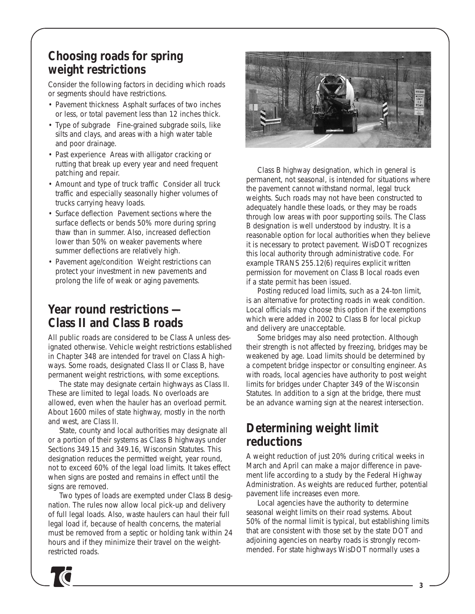### **Choosing roads for spring weight restrictions**

Consider the following factors in deciding which roads or segments should have restrictions.

- *Pavement thickness* Asphalt surfaces of two inches or less, or total pavement less than 12 inches thick.
- *Type of subgrade* Fine-grained subgrade soils, like silts and clays, and areas with a high water table and poor drainage.
- *Past experience* Areas with alligator cracking or rutting that break up every year and need frequent patching and repair.
- *Amount and type of truck traffic* Consider all truck traffic and especially seasonally higher volumes of trucks carrying heavy loads.
- *Surface deflection* Pavement sections where the surface deflects or bends 50% more during spring thaw than in summer. Also, increased deflection lower than 50% on weaker pavements where summer deflections are relatively high.
- *Pavement age/condition* Weight restrictions can protect your investment in new pavements and prolong the life of weak or aging pavements.

### **Year round restrictions — Class II and Class B roads**

All public roads are considered to be Class A unless designated otherwise. Vehicle weight restrictions established in Chapter 348 are intended for travel on Class A highways. Some roads, designated Class II or Class B, have permanent weight restrictions, with some exceptions.

The state may designate certain highways as Class II. These are limited to legal loads. No overloads are allowed, even when the hauler has an overload permit. About 1600 miles of state highway, mostly in the north and west, are Class II.

State, county and local authorities may designate all or a portion of their systems as Class B highways under Sections 349.15 and 349.16, Wisconsin Statutes. This designation reduces the permitted weight, year round, not to exceed 60% of the legal load limits. It takes effect when signs are posted and remains in effect until the signs are removed.

Two types of loads are exempted under Class B designation. The rules now allow local pick-up and delivery of full legal loads. Also, waste haulers can haul their full legal load if, because of health concerns, the material must be removed from a septic or holding tank within 24 hours and if they minimize their travel on the weightrestricted roads.



Class B highway designation, which in general is permanent, not seasonal, is intended for situations where the pavement cannot withstand normal, legal truck weights. Such roads may not have been constructed to adequately handle these loads, or they may be roads through low areas with poor supporting soils. The Class B designation is well understood by industry. It is a reasonable option for local authorities when they believe it is necessary to protect pavement. WisDOT recognizes this local authority through administrative code. For example TRANS 255.12(6) requires explicit written permission for movement on Class B local roads even if a state permit has been issued.

Posting reduced load limits, such as a 24-ton limit, is an alternative for protecting roads in weak condition. Local officials may choose this option if the exemptions which were added in 2002 to Class B for local pickup and delivery are unacceptable.

Some bridges may also need protection. Although their strength is not affected by freezing, bridges may be weakened by age. Load limits should be determined by a competent bridge inspector or consulting engineer. As with roads, local agencies have authority to post weight limits for bridges under Chapter 349 of the Wisconsin Statutes. In addition to a sign at the bridge, there must be an advance warning sign at the nearest intersection.

# **Determining weight limit reductions**

A weight reduction of just 20% during critical weeks in March and April can make a major difference in pavement life according to a study by the Federal Highway Administration. As weights are reduced further, potential pavement life increases even more.

Local agencies have the authority to determine seasonal weight limits on their road systems. About 50% of the normal limit is typical, but establishing limits that are consistent with those set by the state DOT and adjoining agencies on nearby roads is strongly recommended. For state highways WisDOT normally uses a

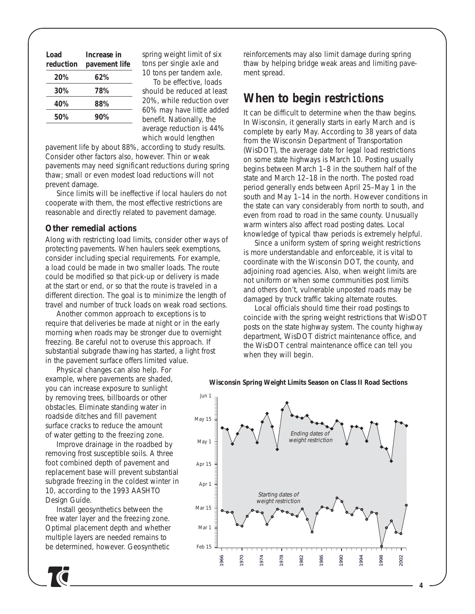| Load<br>reduction | Increase in<br>pavement life |  |
|-------------------|------------------------------|--|
| 20%               | 62%                          |  |
| 30%               | 78%                          |  |
| 40%               | 88%                          |  |
| 50%               | 90%                          |  |

spring weight limit of six tons per single axle and 10 tons per tandem axle.

To be effective, loads should be reduced at least 20%, while reduction over 60% may have little added benefit. Nationally, the average reduction is 44% which would lengthen

pavement life by about 88%, according to study results. Consider other factors also, however. Thin or weak pavements may need significant reductions during spring thaw; small or even modest load reductions will not prevent damage.

Since limits will be ineffective if local haulers do not cooperate with them, the most effective restrictions are reasonable and directly related to pavement damage.

#### *Other remedial actions*

Along with restricting load limits, consider other ways of protecting pavements. When haulers seek exemptions, consider including special requirements. For example, a load could be made in two smaller loads. The route could be modified so that pick-up or delivery is made at the start or end, or so that the route is traveled in a different direction. The goal is to minimize the length of travel and number of truck loads on weak road sections.

Another common approach to exceptions is to require that deliveries be made at night or in the early morning when roads may be stronger due to overnight freezing. Be careful not to overuse this approach. If substantial subgrade thawing has started, a light frost in the pavement surface offers limited value.

Physical changes can also help. For example, where pavements are shaded, you can increase exposure to sunlight by removing trees, billboards or other obstacles. Eliminate standing water in roadside ditches and fill pavement surface cracks to reduce the amount of water getting to the freezing zone.

Improve drainage in the roadbed by removing frost susceptible soils. A three foot combined depth of pavement and replacement base will prevent substantial subgrade freezing in the coldest winter in 10, according to the 1993 *AASHTO Design Guide*.

Install geosynthetics between the free water layer and the freezing zone. Optimal placement depth and whether multiple layers are needed remains to be determined, however. Geosynthetic

reinforcements may also limit damage during spring thaw by helping bridge weak areas and limiting pavement spread.

### **When to begin restrictions**

It can be difficult to determine when the thaw begins. In Wisconsin, it generally starts in early March and is complete by early May. According to 38 years of data from the Wisconsin Department of Transportation (WisDOT), the average date for legal load restrictions on some state highways is March 10. Posting usually begins between March 1–8 in the southern half of the state and March 12–18 in the north. The posted road period generally ends between April 25–May 1 in the south and May 1–14 in the north. However conditions in the state can vary considerably from north to south, and even from road to road in the same county. Unusually warm winters also affect road posting dates. Local knowledge of typical thaw periods is extremely helpful.

Since a uniform system of spring weight restrictions is more understandable and enforceable, it is vital to coordinate with the Wisconsin DOT, the county, and adjoining road agencies. Also, when weight limits are not uniform or when some communities post limits and others don't, vulnerable unposted roads may be damaged by truck traffic taking alternate routes.

Local officials should time their road postings to coincide with the spring weight restrictions that WisDOT posts on the state highway system. The county highway department, WisDOT district maintenance office, and the WisDOT central maintenance office can tell you when they will begin.



**Wisconsin Spring Weight Limits Season on Class II Road Sections**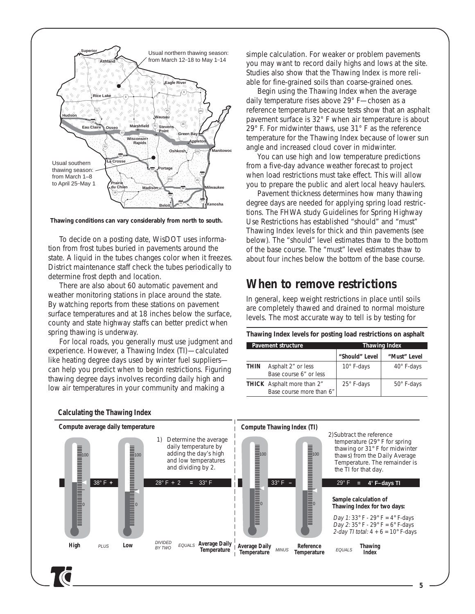

*Thawing conditions can vary considerably from north to south.*

To decide on a posting date, WisDOT uses information from frost tubes buried in pavements around the state. A liquid in the tubes changes color when it freezes. District maintenance staff check the tubes periodically to determine frost depth and location.

There are also about 60 automatic pavement and weather monitoring stations in place around the state. By watching reports from these stations on pavement surface temperatures and at 18 inches below the surface, county and state highway staffs can better predict when spring thawing is underway.

For local roads, you generally must use judgment and experience. However, a Thawing Index (TI)—calculated like heating degree days used by winter fuel suppliers can help you predict when to begin restrictions. Figuring thawing degree days involves recording daily high and low air temperatures in your community and making a

simple calculation. For weaker or problem pavements you may want to record daily highs and lows at the site. Studies also show that the Thawing Index is more reliable for fine-grained soils than coarse-grained ones.

Begin using the Thawing Index when the average daily temperature rises above 29° F—chosen as a reference temperature because tests show that an asphalt pavement surface is 32° F when air temperature is about 29° F. For midwinter thaws, use 31° F as the reference temperature for the Thawing Index because of lower sun angle and increased cloud cover in midwinter.

You can use high and low temperature predictions from a five-day advance weather forecast to project when load restrictions must take effect. This will allow you to prepare the public and alert local heavy haulers.

Pavement thickness determines how many thawing degree days are needed for applying spring load restrictions. The FHWA study *Guidelines for Spring Highway Use Restrictions* has established "should" and "must" Thawing Index levels for thick and thin pavements (see below). The "should" level estimates thaw to the bottom of the base course. The "must" level estimates thaw to about four inches below the bottom of the base course.

### **When to remove restrictions**

In general, keep weight restrictions in place until soils are completely thawed and drained to normal moisture levels. The most accurate way to tell is by testing for

**Thawing Index levels for posting load restrictions on asphalt**

| <b>Pavement structure</b> |                                                               | <b>Thawing Index</b> |              |
|---------------------------|---------------------------------------------------------------|----------------------|--------------|
|                           |                                                               | "Should" Level       | "Must" Level |
| <b>THIN</b>               | Asphalt 2" or less<br>Base course 6" or less                  | 10° F-days           | 40° F-days   |
|                           | <b>THICK</b> Asphalt more than 2"<br>Base course more than 6" | 25° F-days           | 50° F-days   |



*Calculating the Thawing Index*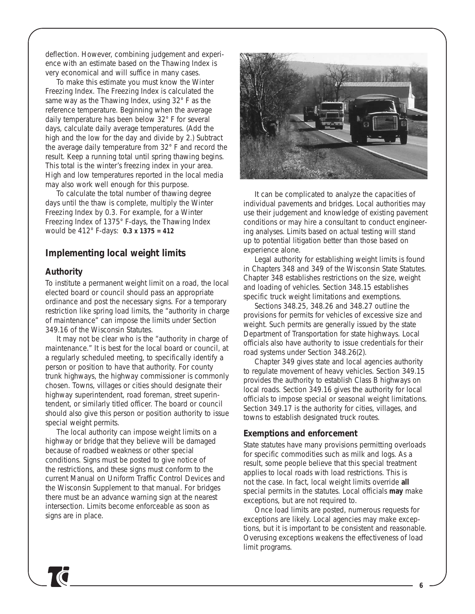deflection. However, combining judgement and experience with an estimate based on the Thawing Index is very economical and will suffice in many cases.

To make this estimate you must know the Winter Freezing Index. The Freezing Index is calculated the same way as the Thawing Index, using 32° F as the reference temperature. Beginning when the average daily temperature has been below 32° F for several days, calculate daily average temperatures. (Add the high and the low for the day and divide by 2.) Subtract the average daily temperature from 32° F and record the result. Keep a running total until spring thawing begins. This total is the winter's freezing index in your area. High and low temperatures reported in the local media may also work well enough for this purpose.

To calculate the total number of thawing degree days until the thaw is complete, multiply the Winter Freezing Index by 0.3. For example, for a Winter Freezing Index of 1375° F-days, the Thawing Index would be 412° F-days: *0.3 x 1375 = 412*

#### **Implementing local weight limits**

#### *Authority*

To institute a permanent weight limit on a road, the local elected board or council should pass an appropriate ordinance and post the necessary signs. For a temporary restriction like spring load limits, the "authority in charge of maintenance" can impose the limits under Section 349.16 of the *Wisconsin Statutes.* 

It may not be clear who is the "authority in charge of maintenance." It is best for the local board or council, at a regularly scheduled meeting, to specifically identify a person or position to have that authority. For county trunk highways, the highway commissioner is commonly chosen. Towns, villages or cities should designate their highway superintendent, road foreman, street superintendent, or similarly titled officer. The board or council should also give this person or position authority to issue special weight permits.

The local authority can impose weight limits on a highway or bridge that they believe will be damaged because of roadbed weakness or other special conditions. Signs must be posted to give notice of the restrictions, and these signs must conform to the current *Manual on Uniform Traffic Control Devices* and the *Wisconsin Supplement* to that manual. For bridges there must be an advance warning sign at the nearest intersection. Limits become enforceable as soon as signs are in place.



It can be complicated to analyze the capacities of individual pavements and bridges. Local authorities may use their judgement and knowledge of existing pavement conditions or may hire a consultant to conduct engineering analyses. Limits based on actual testing will stand up to potential litigation better than those based on experience alone.

Legal authority for establishing weight limits is found in Chapters 348 and 349 of the Wisconsin State Statutes. Chapter 348 establishes restrictions on the size, weight and loading of vehicles. Section 348.15 establishes specific truck weight limitations and exemptions.

Sections 348.25, 348.26 and 348.27 outline the provisions for permits for vehicles of excessive size and weight. Such permits are generally issued by the state Department of Transportation for state highways. Local officials also have authority to issue credentials for their road systems under Section 348.26(2).

Chapter 349 gives state and local agencies authority to regulate movement of heavy vehicles. Section 349.15 provides the authority to establish Class B highways on local roads. Section 349.16 gives the authority for local officials to impose special or seasonal weight limitations. Section 349.17 is the authority for cities, villages, and towns to establish designated truck routes.

#### *Exemptions and enforcement*

State statutes have many provisions permitting overloads for specific commodities such as milk and logs. As a result, some people believe that this special treatment applies to local roads with load restrictions. This is not the case. In fact, local weight limits override *all* special permits in the statutes. Local officials *may* make exceptions, but are not required to.

Once load limits are posted, numerous requests for exceptions are likely. Local agencies may make exceptions, but it is important to be consistent and reasonable. Overusing exceptions weakens the effectiveness of load limit programs.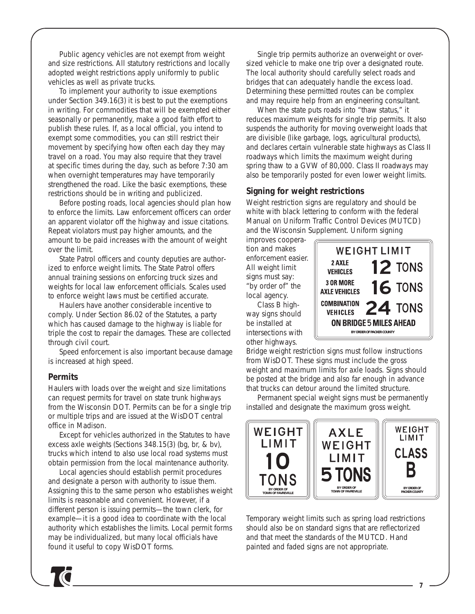*Public agency vehicles are not exempt from weight and size restrictions.* All statutory restrictions and locally adopted weight restrictions apply uniformly to public vehicles as well as private trucks.

To implement your authority to issue exemptions under Section 349.16(3) it is best to put the exemptions in writing. For commodities that will be exempted either seasonally or permanently, make a good faith effort to publish these rules. If, as a local official, you intend to exempt some commodities, you can still restrict their movement by specifying how often each day they may travel on a road. You may also require that they travel at specific times during the day, such as before 7:30 am when overnight temperatures may have temporarily strengthened the road. Like the basic exemptions, these restrictions should be in writing and publicized.

Before posting roads, local agencies should plan how to enforce the limits. Law enforcement officers can order an apparent violator off the highway and issue citations. Repeat violators must pay higher amounts, and the amount to be paid increases with the amount of weight over the limit.

State Patrol officers and county deputies are authorized to enforce weight limits. The State Patrol offers annual training sessions on enforcing truck sizes and weights for local law enforcement officials. Scales used to enforce weight laws must be certified accurate.

Haulers have another considerable incentive to comply. Under Section 86.02 of the Statutes, a party which has caused damage to the highway is liable for triple the cost to repair the damages. These are collected through civil court.

Speed enforcement is also important because damage is increased at high speed.

#### *Permits*

Haulers with loads over the weight and size limitations can request permits for travel on state trunk highways from the Wisconsin DOT. Permits can be for a single trip or multiple trips and are issued at the WisDOT central office in Madison.

Except for vehicles authorized in the Statutes to have excess axle weights (Sections 348.15(3) (bg, br, & bv), trucks which intend to also use local road systems must obtain permission from the local maintenance authority.

Local agencies should establish permit procedures and designate a person with authority to issue them. Assigning this to the same person who establishes weight limits is reasonable and convenient. However, if a different person is issuing permits—the town clerk, for example—it is a good idea to coordinate with the local authority which establishes the limits. Local permit forms may be individualized, but many local officials have found it useful to copy WisDOT forms.

Single trip permits authorize an overweight or oversized vehicle to make one trip over a designated route. The local authority should carefully select roads and bridges that can adequately handle the excess load. Determining these permitted routes can be complex and may require help from an engineering consultant.

When the state puts roads into "thaw status," it reduces maximum weights for single trip permits. It also suspends the authority for moving overweight loads that are divisible (like garbage, logs, agricultural products), and declares certain vulnerable state highways as Class II roadways which limits the maximum weight during spring thaw to a GVW of 80,000. Class II roadways may also be temporarily posted for even lower weight limits.

#### *Signing for weight restrictions*

Weight restriction signs are regulatory and should be white with black lettering to conform with the federal *Manual on Uniform Traffic Control Devices (MUTCD)* and the *Wisconsin Supplement*. Uniform signing

improves cooperation and makes enforcement easier. All weight limit signs must say: "by order of" the local agency.

Class B highway signs should be installed at intersections with other highways.



Bridge weight restriction signs must follow instructions from WisDOT. These signs must include the gross weight and maximum limits for axle loads. Signs should be posted at the bridge and also far enough in advance that trucks can detour around the limited structure.

Permanent special weight signs must be permanently installed and designate the maximum gross weight.



Temporary weight limits such as spring load restrictions should also be on standard signs that are reflectorized and that meet the standards of the *MUTCD*. Hand painted and faded signs are not appropriate.